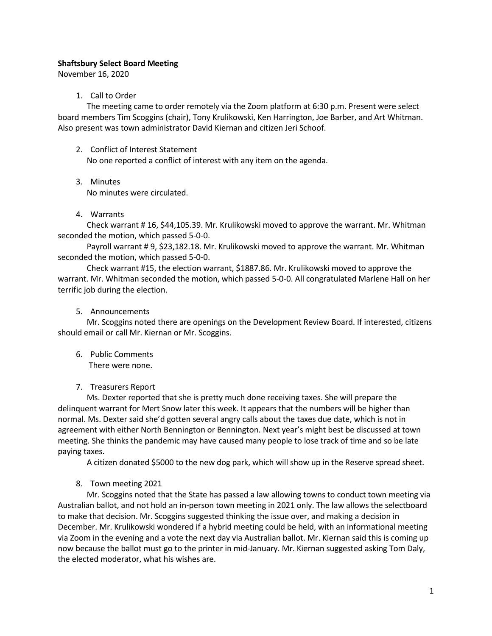### Shaftsbury Select Board Meeting

November 16, 2020

### 1. Call to Order

The meeting came to order remotely via the Zoom platform at 6:30 p.m. Present were select board members Tim Scoggins (chair), Tony Krulikowski, Ken Harrington, Joe Barber, and Art Whitman. Also present was town administrator David Kiernan and citizen Jeri Schoof.

2. Conflict of Interest Statement

No one reported a conflict of interest with any item on the agenda.

3. Minutes

No minutes were circulated.

4. Warrants

Check warrant # 16, \$44,105.39. Mr. Krulikowski moved to approve the warrant. Mr. Whitman seconded the motion, which passed 5-0-0.

Payroll warrant # 9, \$23,182.18. Mr. Krulikowski moved to approve the warrant. Mr. Whitman seconded the motion, which passed 5-0-0.

Check warrant #15, the election warrant, \$1887.86. Mr. Krulikowski moved to approve the warrant. Mr. Whitman seconded the motion, which passed 5-0-0. All congratulated Marlene Hall on her terrific job during the election.

5. Announcements

Mr. Scoggins noted there are openings on the Development Review Board. If interested, citizens should email or call Mr. Kiernan or Mr. Scoggins.

- 6. Public Comments There were none.
- 7. Treasurers Report

Ms. Dexter reported that she is pretty much done receiving taxes. She will prepare the delinquent warrant for Mert Snow later this week. It appears that the numbers will be higher than normal. Ms. Dexter said she'd gotten several angry calls about the taxes due date, which is not in agreement with either North Bennington or Bennington. Next year's might best be discussed at town meeting. She thinks the pandemic may have caused many people to lose track of time and so be late paying taxes.

A citizen donated \$5000 to the new dog park, which will show up in the Reserve spread sheet.

8. Town meeting 2021

Mr. Scoggins noted that the State has passed a law allowing towns to conduct town meeting via Australian ballot, and not hold an in-person town meeting in 2021 only. The law allows the selectboard to make that decision. Mr. Scoggins suggested thinking the issue over, and making a decision in December. Mr. Krulikowski wondered if a hybrid meeting could be held, with an informational meeting via Zoom in the evening and a vote the next day via Australian ballot. Mr. Kiernan said this is coming up now because the ballot must go to the printer in mid-January. Mr. Kiernan suggested asking Tom Daly, the elected moderator, what his wishes are.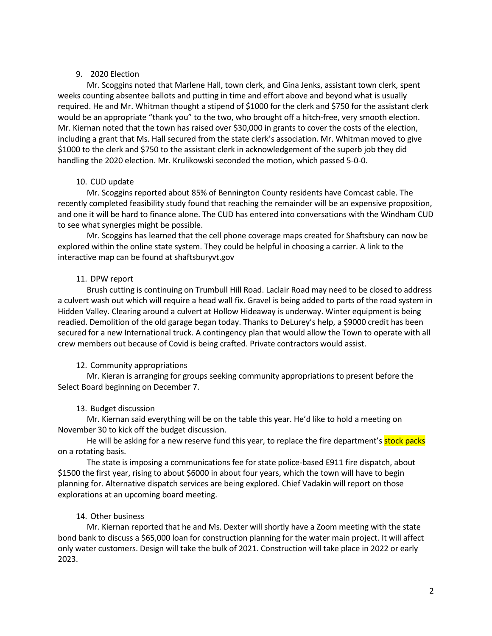### 9. 2020 Election

Mr. Scoggins noted that Marlene Hall, town clerk, and Gina Jenks, assistant town clerk, spent weeks counting absentee ballots and putting in time and effort above and beyond what is usually required. He and Mr. Whitman thought a stipend of \$1000 for the clerk and \$750 for the assistant clerk would be an appropriate "thank you" to the two, who brought off a hitch-free, very smooth election. Mr. Kiernan noted that the town has raised over \$30,000 in grants to cover the costs of the election, including a grant that Ms. Hall secured from the state clerk's association. Mr. Whitman moved to give \$1000 to the clerk and \$750 to the assistant clerk in acknowledgement of the superb job they did handling the 2020 election. Mr. Krulikowski seconded the motion, which passed 5-0-0.

### 10. CUD update

Mr. Scoggins reported about 85% of Bennington County residents have Comcast cable. The recently completed feasibility study found that reaching the remainder will be an expensive proposition, and one it will be hard to finance alone. The CUD has entered into conversations with the Windham CUD to see what synergies might be possible.

Mr. Scoggins has learned that the cell phone coverage maps created for Shaftsbury can now be explored within the online state system. They could be helpful in choosing a carrier. A link to the interactive map can be found at shaftsburyvt.gov

# 11. DPW report

Brush cutting is continuing on Trumbull Hill Road. Laclair Road may need to be closed to address a culvert wash out which will require a head wall fix. Gravel is being added to parts of the road system in Hidden Valley. Clearing around a culvert at Hollow Hideaway is underway. Winter equipment is being readied. Demolition of the old garage began today. Thanks to DeLurey's help, a \$9000 credit has been secured for a new International truck. A contingency plan that would allow the Town to operate with all crew members out because of Covid is being crafted. Private contractors would assist.

# 12. Community appropriations

Mr. Kieran is arranging for groups seeking community appropriations to present before the Select Board beginning on December 7.

# 13. Budget discussion

Mr. Kiernan said everything will be on the table this year. He'd like to hold a meeting on November 30 to kick off the budget discussion.

He will be asking for a new reserve fund this year, to replace the fire department's stock packs on a rotating basis.

The state is imposing a communications fee for state police-based E911 fire dispatch, about \$1500 the first year, rising to about \$6000 in about four years, which the town will have to begin planning for. Alternative dispatch services are being explored. Chief Vadakin will report on those explorations at an upcoming board meeting.

# 14. Other business

Mr. Kiernan reported that he and Ms. Dexter will shortly have a Zoom meeting with the state bond bank to discuss a \$65,000 loan for construction planning for the water main project. It will affect only water customers. Design will take the bulk of 2021. Construction will take place in 2022 or early 2023.